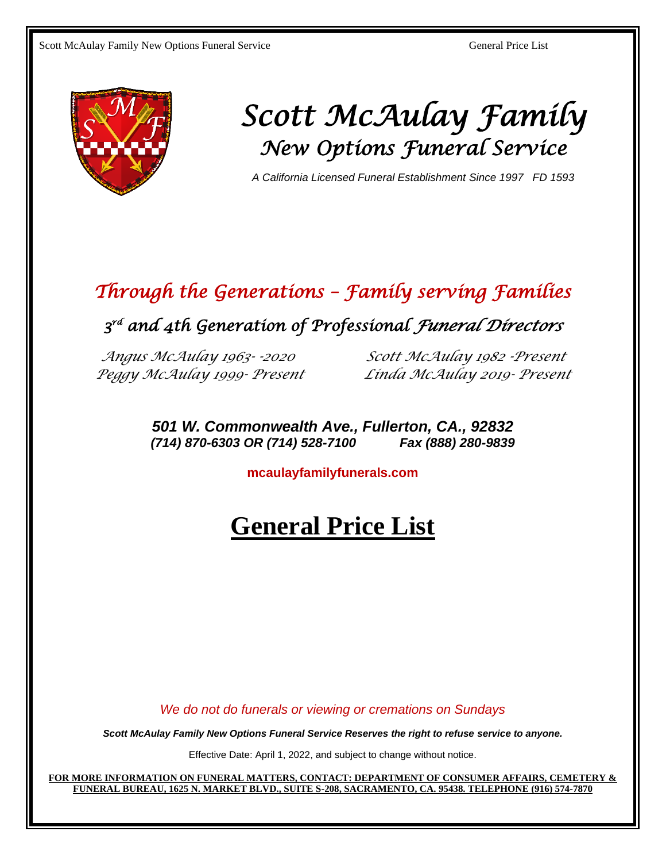

# *Scott McAulay Family New Options Funeral Service*

*A California Licensed Funeral Establishment Since 1997 FD 1593*

## *Through the Generations – Family serving Families*

## *3 rd and 4th Generation of Professional Funeral Directors*

*Angus McAulay 1963- -2020 Scott McAulay 1982 -Present Peggy McAulay 1999- Present Linda McAulay 2019- Present*

*501 W. Commonwealth Ave., Fullerton, CA., 92832 (714) 870-6303 OR (714) 528-7100 Fax (888) 280-9839*

**mcaulayfamilyfunerals.com** 

# **General Price List**

*We do not do funerals or viewing or cremations on Sundays*

*Scott McAulay Family New Options Funeral Service Reserves the right to refuse service to anyone.*

Effective Date: April 1, 2022, and subject to change without notice.

**FOR MORE INFORMATION ON FUNERAL MATTERS, CONTACT: DEPARTMENT OF CONSUMER AFFAIRS, CEMETERY & FUNERAL BUREAU, 1625 N. MARKET BLVD., SUITE S-208, SACRAMENTO, CA. 95438. TELEPHONE (916) 574-7870**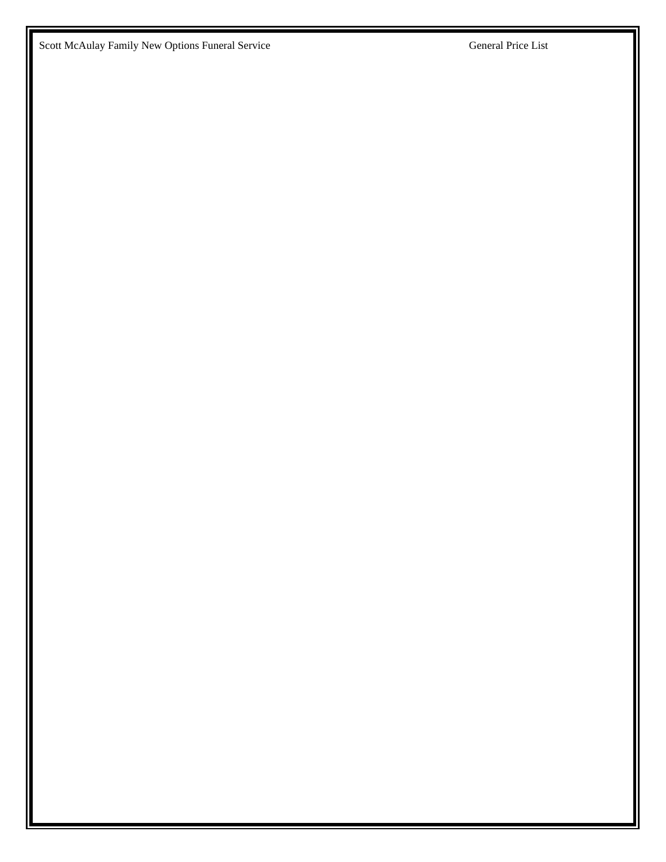Scott McAulay Family New Options Funeral Service General Price List General Price List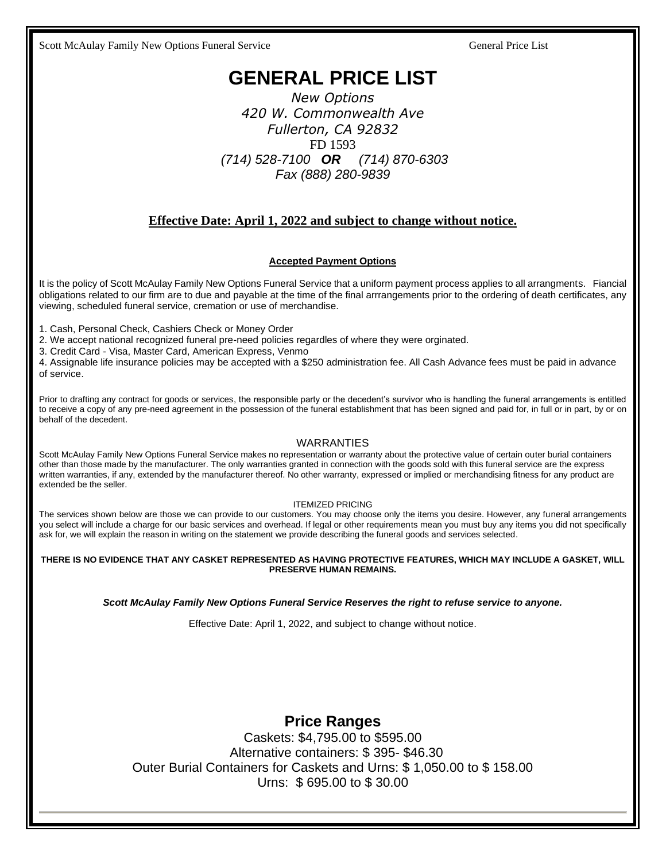Scott McAulay Family New Options Funeral Service General Price List

## **GENERAL PRICE LIST**

*New Options 420 W. Commonwealth Ave Fullerton, CA 92832* FD 1593 *(714) 528-7100 OR (714) 870-6303 Fax (888) 280-9839*

### **Effective Date: April 1, 2022 and subject to change without notice.**

#### **Accepted Payment Options**

It is the policy of Scott McAulay Family New Options Funeral Service that a uniform payment process applies to all arrangments. Fiancial obligations related to our firm are to due and payable at the time of the final arrrangements prior to the ordering of death certificates, any viewing, scheduled funeral service, cremation or use of merchandise.

- 1. Cash, Personal Check, Cashiers Check or Money Order
- 2. We accept national recognized funeral pre-need policies regardles of where they were orginated.
- 3. Credit Card Visa, Master Card, American Express, Venmo

4. Assignable life insurance policies may be accepted with a \$250 administration fee. All Cash Advance fees must be paid in advance of service.

Prior to drafting any contract for goods or services, the responsible party or the decedent's survivor who is handling the funeral arrangements is entitled to receive a copy of any pre-need agreement in the possession of the funeral establishment that has been signed and paid for, in full or in part, by or on behalf of the decedent.

#### WARRANTIES

Scott McAulay Family New Options Funeral Service makes no representation or warranty about the protective value of certain outer burial containers other than those made by the manufacturer. The only warranties granted in connection with the goods sold with this funeral service are the express written warranties, if any, extended by the manufacturer thereof. No other warranty, expressed or implied or merchandising fitness for any product are extended be the seller.

#### ITEMIZED PRICING

The services shown below are those we can provide to our customers. You may choose only the items you desire. However, any funeral arrangements you select will include a charge for our basic services and overhead. If legal or other requirements mean you must buy any items you did not specifically ask for, we will explain the reason in writing on the statement we provide describing the funeral goods and services selected.

**THERE IS NO EVIDENCE THAT ANY CASKET REPRESENTED AS HAVING PROTECTIVE FEATURES, WHICH MAY INCLUDE A GASKET, WILL PRESERVE HUMAN REMAINS.**

#### *Scott McAulay Family New Options Funeral Service Reserves the right to refuse service to anyone.*

Effective Date: April 1, 2022, and subject to change without notice.

### **Price Ranges**

Caskets: \$4,795.00 to \$595.00 Alternative containers: \$ 395- \$46.30 Outer Burial Containers for Caskets and Urns: \$ 1,050.00 to \$ 158.00 Urns: \$ 695.00 to \$ 30.00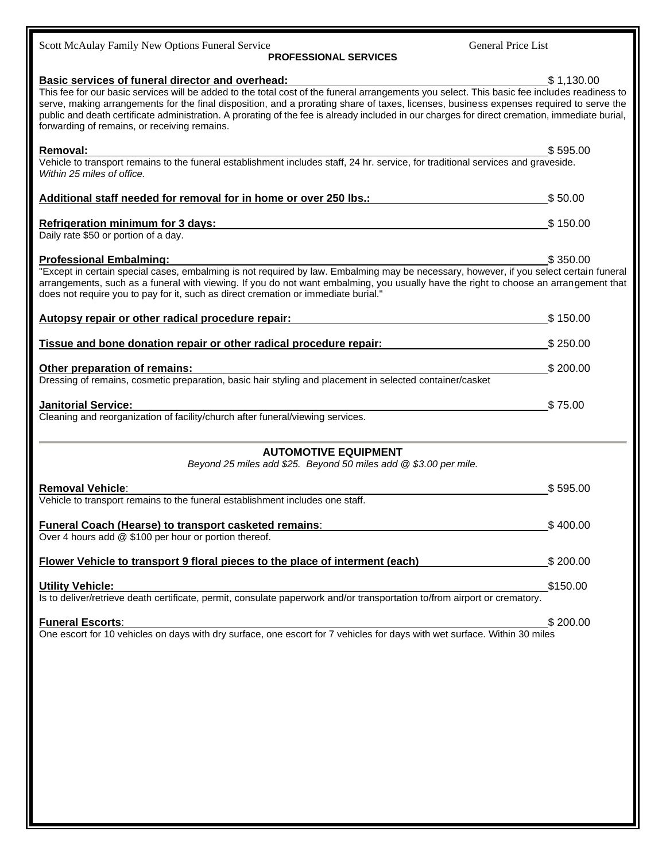| Scott McAulay Family New Options Funeral Service<br><b>PROFESSIONAL SERVICES</b>                                                                                                                                                                                                                                                                                                                                                                                                                                                                     | General Price List |
|------------------------------------------------------------------------------------------------------------------------------------------------------------------------------------------------------------------------------------------------------------------------------------------------------------------------------------------------------------------------------------------------------------------------------------------------------------------------------------------------------------------------------------------------------|--------------------|
|                                                                                                                                                                                                                                                                                                                                                                                                                                                                                                                                                      |                    |
| <b>Basic services of funeral director and overhead:</b><br>This fee for our basic services will be added to the total cost of the funeral arrangements you select. This basic fee includes readiness to<br>serve, making arrangements for the final disposition, and a prorating share of taxes, licenses, business expenses required to serve the<br>public and death certificate administration. A prorating of the fee is already included in our charges for direct cremation, immediate burial,<br>forwarding of remains, or receiving remains. | \$1,130.00         |
| Removal:                                                                                                                                                                                                                                                                                                                                                                                                                                                                                                                                             | \$595.00           |
| Vehicle to transport remains to the funeral establishment includes staff, 24 hr. service, for traditional services and graveside.<br>Within 25 miles of office.                                                                                                                                                                                                                                                                                                                                                                                      |                    |
| Additional staff needed for removal for in home or over 250 lbs.:                                                                                                                                                                                                                                                                                                                                                                                                                                                                                    | \$50.00            |
| <u><b>Refrigeration minimum for 3 days:</b></u>                                                                                                                                                                                                                                                                                                                                                                                                                                                                                                      | \$150.00           |
| Daily rate \$50 or portion of a day.                                                                                                                                                                                                                                                                                                                                                                                                                                                                                                                 |                    |
|                                                                                                                                                                                                                                                                                                                                                                                                                                                                                                                                                      |                    |
| <b>Professional Embalming:</b><br>"Except in certain special cases, embalming is not required by law. Embalming may be necessary, however, if you select certain funeral                                                                                                                                                                                                                                                                                                                                                                             | \$350.00           |
| arrangements, such as a funeral with viewing. If you do not want embalming, you usually have the right to choose an arrangement that<br>does not require you to pay for it, such as direct cremation or immediate burial."                                                                                                                                                                                                                                                                                                                           |                    |
| Autopsy repair or other radical procedure repair:                                                                                                                                                                                                                                                                                                                                                                                                                                                                                                    | \$150.00           |
|                                                                                                                                                                                                                                                                                                                                                                                                                                                                                                                                                      |                    |
| Tissue and bone donation repair or other radical procedure repair:                                                                                                                                                                                                                                                                                                                                                                                                                                                                                   | \$250.00           |
| Other preparation of remains:                                                                                                                                                                                                                                                                                                                                                                                                                                                                                                                        | \$200.00           |
| Dressing of remains, cosmetic preparation, basic hair styling and placement in selected container/casket                                                                                                                                                                                                                                                                                                                                                                                                                                             |                    |
|                                                                                                                                                                                                                                                                                                                                                                                                                                                                                                                                                      |                    |
| <b>Janitorial Service:</b><br>Cleaning and reorganization of facility/church after funeral/viewing services.                                                                                                                                                                                                                                                                                                                                                                                                                                         | \$75.00            |
|                                                                                                                                                                                                                                                                                                                                                                                                                                                                                                                                                      |                    |
| <b>AUTOMOTIVE EQUIPMENT</b><br>Beyond 25 miles add \$25. Beyond 50 miles add @ \$3.00 per mile.                                                                                                                                                                                                                                                                                                                                                                                                                                                      |                    |
|                                                                                                                                                                                                                                                                                                                                                                                                                                                                                                                                                      |                    |
| <b>Removal Vehicle:</b><br>Vehicle to transport remains to the funeral establishment includes one staff.                                                                                                                                                                                                                                                                                                                                                                                                                                             | \$595.00           |
|                                                                                                                                                                                                                                                                                                                                                                                                                                                                                                                                                      |                    |
| Funeral Coach (Hearse) to transport casketed remains:                                                                                                                                                                                                                                                                                                                                                                                                                                                                                                | \$400.00           |
| Over 4 hours add @ \$100 per hour or portion thereof.                                                                                                                                                                                                                                                                                                                                                                                                                                                                                                |                    |
| <b>Flower Vehicle to transport 9 floral pieces to the place of interment (each)</b>                                                                                                                                                                                                                                                                                                                                                                                                                                                                  | \$200.00           |
| <b>Utility Vehicle:</b>                                                                                                                                                                                                                                                                                                                                                                                                                                                                                                                              | \$150.00           |
| Is to deliver/retrieve death certificate, permit, consulate paperwork and/or transportation to/from airport or crematory.                                                                                                                                                                                                                                                                                                                                                                                                                            |                    |
|                                                                                                                                                                                                                                                                                                                                                                                                                                                                                                                                                      | \$200.00           |
| <b>Funeral Escorts:</b>                                                                                                                                                                                                                                                                                                                                                                                                                                                                                                                              |                    |
|                                                                                                                                                                                                                                                                                                                                                                                                                                                                                                                                                      |                    |
|                                                                                                                                                                                                                                                                                                                                                                                                                                                                                                                                                      |                    |
|                                                                                                                                                                                                                                                                                                                                                                                                                                                                                                                                                      |                    |
|                                                                                                                                                                                                                                                                                                                                                                                                                                                                                                                                                      |                    |
|                                                                                                                                                                                                                                                                                                                                                                                                                                                                                                                                                      |                    |
|                                                                                                                                                                                                                                                                                                                                                                                                                                                                                                                                                      |                    |
|                                                                                                                                                                                                                                                                                                                                                                                                                                                                                                                                                      |                    |
|                                                                                                                                                                                                                                                                                                                                                                                                                                                                                                                                                      |                    |
|                                                                                                                                                                                                                                                                                                                                                                                                                                                                                                                                                      |                    |
|                                                                                                                                                                                                                                                                                                                                                                                                                                                                                                                                                      |                    |
|                                                                                                                                                                                                                                                                                                                                                                                                                                                                                                                                                      |                    |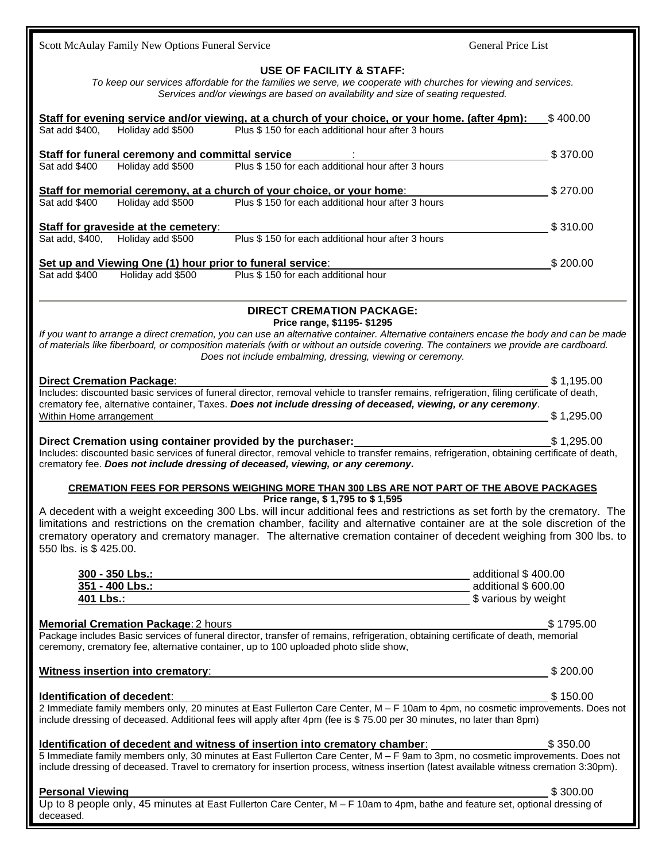|                                                                                                                                                                                                                                                                                                                                                                                                                                                                                                                                                  | Scott McAulay Family New Options Funeral Service                               |                                                                                                                                                                                                                                                                                                                                                           | General Price List                                                 |                          |
|--------------------------------------------------------------------------------------------------------------------------------------------------------------------------------------------------------------------------------------------------------------------------------------------------------------------------------------------------------------------------------------------------------------------------------------------------------------------------------------------------------------------------------------------------|--------------------------------------------------------------------------------|-----------------------------------------------------------------------------------------------------------------------------------------------------------------------------------------------------------------------------------------------------------------------------------------------------------------------------------------------------------|--------------------------------------------------------------------|--------------------------|
| <b>USE OF FACILITY &amp; STAFF:</b><br>To keep our services affordable for the families we serve, we cooperate with churches for viewing and services.<br>Services and/or viewings are based on availability and size of seating requested.                                                                                                                                                                                                                                                                                                      |                                                                                |                                                                                                                                                                                                                                                                                                                                                           |                                                                    |                          |
| Sat add \$400,                                                                                                                                                                                                                                                                                                                                                                                                                                                                                                                                   | Holiday add \$500                                                              | Staff for evening service and/or viewing, at a church of your choice, or your home. (after 4pm):<br>Plus \$ 150 for each additional hour after 3 hours                                                                                                                                                                                                    |                                                                    | \$400.00                 |
| Sat add \$400                                                                                                                                                                                                                                                                                                                                                                                                                                                                                                                                    | <b>Staff for funeral ceremony and committal service</b><br>Holiday add \$500   | Plus \$ 150 for each additional hour after 3 hours                                                                                                                                                                                                                                                                                                        |                                                                    | \$370.00                 |
| Sat add \$400                                                                                                                                                                                                                                                                                                                                                                                                                                                                                                                                    | Holiday add \$500                                                              | Staff for memorial ceremony, at a church of your choice, or your home:<br>Plus \$ 150 for each additional hour after 3 hours                                                                                                                                                                                                                              |                                                                    | \$270.00                 |
| Sat add, \$400,                                                                                                                                                                                                                                                                                                                                                                                                                                                                                                                                  | Staff for graveside at the cemetery:<br>Holiday add \$500                      | Plus \$150 for each additional hour after 3 hours                                                                                                                                                                                                                                                                                                         |                                                                    | \$310.00                 |
| Sat add \$400                                                                                                                                                                                                                                                                                                                                                                                                                                                                                                                                    | Set up and Viewing One (1) hour prior to funeral service:<br>Holiday add \$500 | Plus \$150 for each additional hour                                                                                                                                                                                                                                                                                                                       |                                                                    | \$200.00                 |
| <b>DIRECT CREMATION PACKAGE:</b><br>Price range, \$1195-\$1295<br>If you want to arrange a direct cremation, you can use an alternative container. Alternative containers encase the body and can be made<br>of materials like fiberboard, or composition materials (with or without an outside covering. The containers we provide are cardboard.<br>Does not include embalming, dressing, viewing or ceremony.                                                                                                                                 |                                                                                |                                                                                                                                                                                                                                                                                                                                                           |                                                                    |                          |
| <b>Direct Cremation Package:</b><br>Within Home arrangement                                                                                                                                                                                                                                                                                                                                                                                                                                                                                      |                                                                                | Includes: discounted basic services of funeral director, removal vehicle to transfer remains, refrigeration, filing certificate of death,<br>crematory fee, alternative container, Taxes. Does not include dressing of deceased, viewing, or any ceremony.                                                                                                |                                                                    | \$1,195.00<br>\$1,295.00 |
| Direct Cremation using container provided by the purchaser:<br>\$1,295.00<br>Includes: discounted basic services of funeral director, removal vehicle to transfer remains, refrigeration, obtaining certificate of death,<br>crematory fee. Does not include dressing of deceased, viewing, or any ceremony.                                                                                                                                                                                                                                     |                                                                                |                                                                                                                                                                                                                                                                                                                                                           |                                                                    |                          |
| <b>CREMATION FEES FOR PERSONS WEIGHING MORE THAN 300 LBS ARE NOT PART OF THE ABOVE PACKAGES</b><br>Price range, \$1,795 to \$1,595<br>A decedent with a weight exceeding 300 Lbs. will incur additional fees and restrictions as set forth by the crematory. The<br>limitations and restrictions on the cremation chamber, facility and alternative container are at the sole discretion of the<br>crematory operatory and crematory manager. The alternative cremation container of decedent weighing from 300 lbs. to<br>550 lbs. is \$425.00. |                                                                                |                                                                                                                                                                                                                                                                                                                                                           |                                                                    |                          |
| 401 Lbs.:                                                                                                                                                                                                                                                                                                                                                                                                                                                                                                                                        | <u>300 - 350 Lbs.: ______</u>                                                  |                                                                                                                                                                                                                                                                                                                                                           | additional \$400.00<br>additional \$600.00<br>\$ various by weight |                          |
|                                                                                                                                                                                                                                                                                                                                                                                                                                                                                                                                                  | <b>Memorial Cremation Package: 2 hours</b>                                     | Package includes Basic services of funeral director, transfer of remains, refrigeration, obtaining certificate of death, memorial<br>ceremony, crematory fee, alternative container, up to 100 uploaded photo slide show,                                                                                                                                 |                                                                    | \$1795.00                |
|                                                                                                                                                                                                                                                                                                                                                                                                                                                                                                                                                  | Witness insertion into crematory:                                              |                                                                                                                                                                                                                                                                                                                                                           |                                                                    | \$200.00                 |
| Identification of decedent:                                                                                                                                                                                                                                                                                                                                                                                                                                                                                                                      |                                                                                | o 150.00<br>2 Immediate family members only, 20 minutes at East Fullerton Care Center, M – F 10am to 4pm, no cosmetic improvements. Does not<br>include dressing of deceased. Additional fees will apply after 4pm (fee is \$75.00 per 30 minutes, no later than 8pm)                                                                                     |                                                                    | \$150.00                 |
|                                                                                                                                                                                                                                                                                                                                                                                                                                                                                                                                                  |                                                                                | Identification of decedent and witness of insertion into crematory chamber:<br>5 Immediate family members only, 30 minutes at East Fullerton Care Center, M - F 9am to 3pm, no cosmetic improvements. Does not<br>include dressing of deceased. Travel to crematory for insertion process, witness insertion (latest available witness cremation 3:30pm). |                                                                    | \$350.00                 |
| <b>Personal Viewing</b><br>deceased.                                                                                                                                                                                                                                                                                                                                                                                                                                                                                                             |                                                                                | \$ 300.00 \$<br>Up to 8 people only, 45 minutes at East Fullerton Care Center, M – F 10am to 4pm, bathe and feature set, optional dressing of                                                                                                                                                                                                             |                                                                    | \$300.00                 |